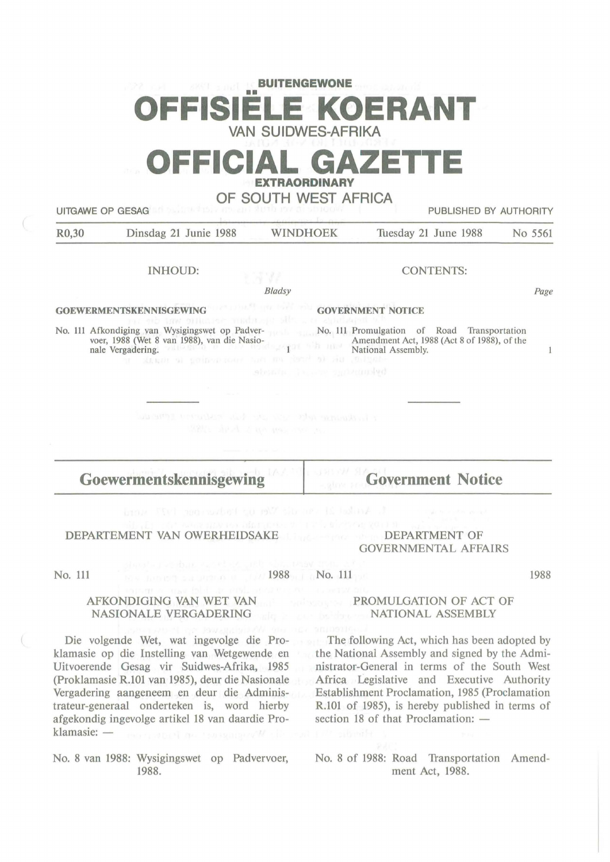# **BUITENGEWONE**  •• **OFFISIELE KOERANT VAN SUIDWES-AFRIKA**

## **OFFICIAL GAZET EXTRAORDINARY**

**OF SOUTH WEST AFRICA** 

UITGAWE OP GESAG ED SAND BESIDE BY AUTHORITY

R0,30 Dinsdag 21 Junie 1988 WINDHOEK Tuesday 21 June 1988 No 5561

INHOUD:

Bladsy

**GOEWERMENTSKENNISGEWING** 

No. lll Afkondiging van Wysigingswet op Padvervoer, 1988 (Wet 8 van 1988), van die Nasio- $-101$ nale Vergadering.

CONTENTS:

*Page* 

 $\mathbf{1}$ 

### **GOVERNMENT NOTICE**

No. Ill Promulgation of Road Transportation Amendment Act, 1988 (Act 8 of 1988), of the National Assembly.

**Goewermentskennisgewing** 

**Government Notice** 

#### DEPARTEMENT VAN OWERHEIDSAKE

### DEPARTMENT OF GOVERNMENTAL AFFAIRS

No. 111

### 1988 No. 111

1988

#### AFKONDIGING VAN WET VAN NASIONALE VERGADERING

Die volgende Wet, wat ingevolge die Proklamasie op die Instelling van Wetgewende en Uitvoerende Gesag vir Suidwes-Afrika, 1985 (Proklamasie R.101 van 1985), deur die Nasionale Vergadering aangeneem en deur die Administrateur-generaal onderteken is, word hierby afgekondig ingevolge artikel 18 van daardie Pro $klamasie: -$ 

No. 8 van 1988: Wysigingswet op Padvervoer, 1988.

#### PROMULGATION OF ACT OF NATIONAL ASSEMBLY

The following Act, which has been adopted by the National Assembly and signed by the Administrator-General in terms of the South West Africa Legislative and Executive Authority Establishment Proclamation, 1985 (Proclamation R.101 of 1985), is hereby published in terms of section 18 of that Proclamation:  $-$ 

No. 8 of 1988: Road Transportation Amendment Act, 1988.